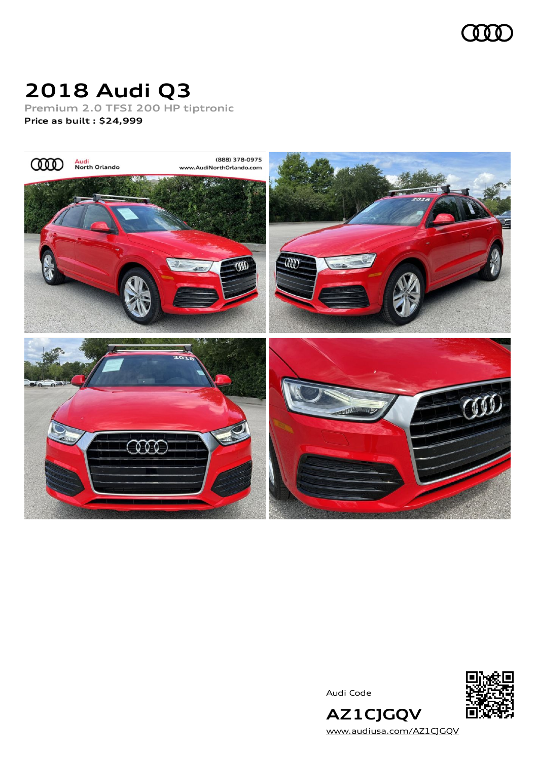

# **2018 Audi Q3**

**Premium 2.0 TFSI 200 HP tiptronic**

**Price as built [:](#page-8-0) \$24,999**



Audi Code



**AZ1CJGQV** [www.audiusa.com/AZ1CJGQV](https://www.audiusa.com/AZ1CJGQV)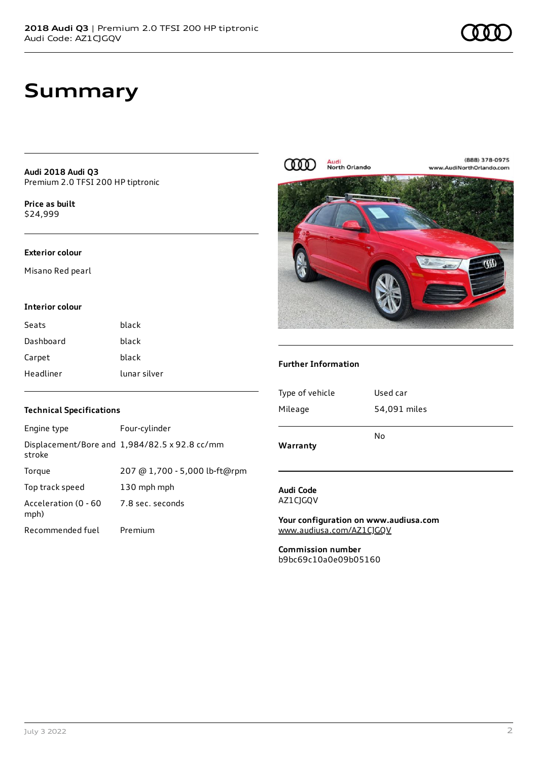# **Summary**

**Audi 2018 Audi Q3** Premium 2.0 TFSI 200 HP tiptronic

**Price as buil[t](#page-8-0)** \$24,999

### **Exterior colour**

Misano Red pearl

#### **Interior colour**

| Seats     | black        |
|-----------|--------------|
| Dashboard | black        |
| Carpet    | black        |
| Headliner | lunar silver |

### **Technical Specifications**

| Engine type                  | Four-cylinder                                 |
|------------------------------|-----------------------------------------------|
| stroke                       | Displacement/Bore and 1,984/82.5 x 92.8 cc/mm |
| Torque                       | 207 @ 1,700 - 5,000 lb-ft@rpm                 |
| Top track speed              | 130 mph mph                                   |
| Acceleration (0 - 60<br>mph) | 7.8 sec. seconds                              |
| Recommended fuel             | Premium                                       |



### **Further Information**

| Warranty        | No           |
|-----------------|--------------|
| Mileage         | 54,091 miles |
| Type of vehicle | Used car     |
|                 |              |

### **Audi Code** AZ1CJGQV

**Your configuration on www.audiusa.com** [www.audiusa.com/AZ1CJGQV](https://www.audiusa.com/AZ1CJGQV)

**Commission number** b9bc69c10a0e09b05160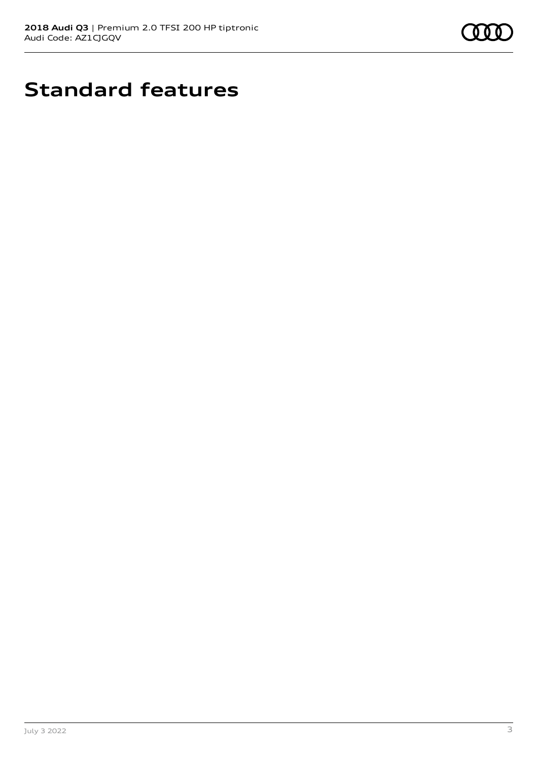

# **Standard features**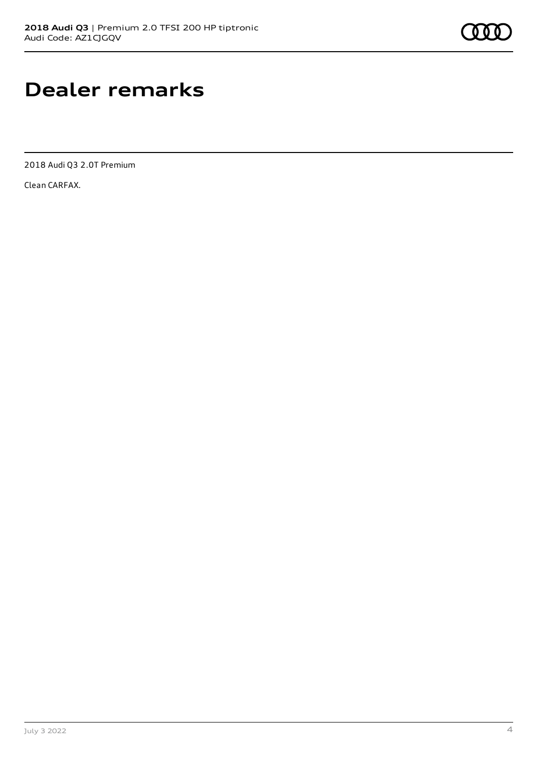# **Dealer remarks**

2018 Audi Q3 2.0T Premium

Clean CARFAX.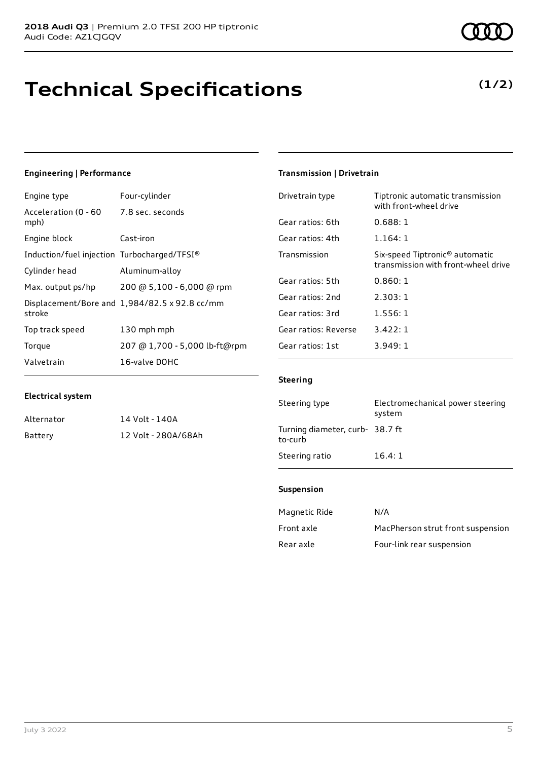# **Technical Specifications**

## **Engineering | Performance**

| Engine type                                   | Four-cylinder                                 |
|-----------------------------------------------|-----------------------------------------------|
| Acceleration (0 - 60 7.8 sec. seconds<br>mph) |                                               |
| Engine block                                  | Cast-iron                                     |
| Induction/fuel injection Turbocharged/TFSI®   |                                               |
| Cylinder head                                 | Aluminum-alloy                                |
| Max. output ps/hp                             | 200 @ 5,100 - 6,000 @ rpm                     |
| stroke                                        | Displacement/Bore and 1,984/82.5 x 92.8 cc/mm |
| Top track speed                               | 130 mph mph                                   |
| Torque                                        | 207 @ 1,700 - 5,000 lb-ft@rpm                 |
| Valvetrain                                    | 16-valve DOHC                                 |

### **Electrical system**

| Alternator | 14 Volt - 140A      |
|------------|---------------------|
| Battery    | 12 Volt - 280A/68Ah |

#### July 3 2022 5

# **Transmission | Drivetrain**

| Drivetrain type      | Tiptronic automatic transmission<br>with front-wheel drive                        |
|----------------------|-----------------------------------------------------------------------------------|
| Gear ratios: 6th     | 0.688:1                                                                           |
| Gear ratios: 4th     | 1.164:1                                                                           |
| Transmission         | Six-speed Tiptronic <sup>®</sup> automatic<br>transmission with front-wheel drive |
| Gear ratios: 5th     | 0.860:1                                                                           |
| Gear ratios: 2nd     | 2.303:1                                                                           |
| Gear ratios: 3rd     | 1.556:1                                                                           |
| Gear ratios: Reverse | 3.422:1                                                                           |
| Gear ratios: 1st     | 3.949:1                                                                           |

### **Steering**

| Steering type                              | Electromechanical power steering<br>system |
|--------------------------------------------|--------------------------------------------|
| Turning diameter, curb- 38.7 ft<br>to-curb |                                            |
| Steering ratio                             | 16.4:1                                     |

### **Suspension**

| Magnetic Ride | N/A                               |
|---------------|-----------------------------------|
| Front axle    | MacPherson strut front suspension |
| Rear axle     | Four-link rear suspension         |



# **(1/2)**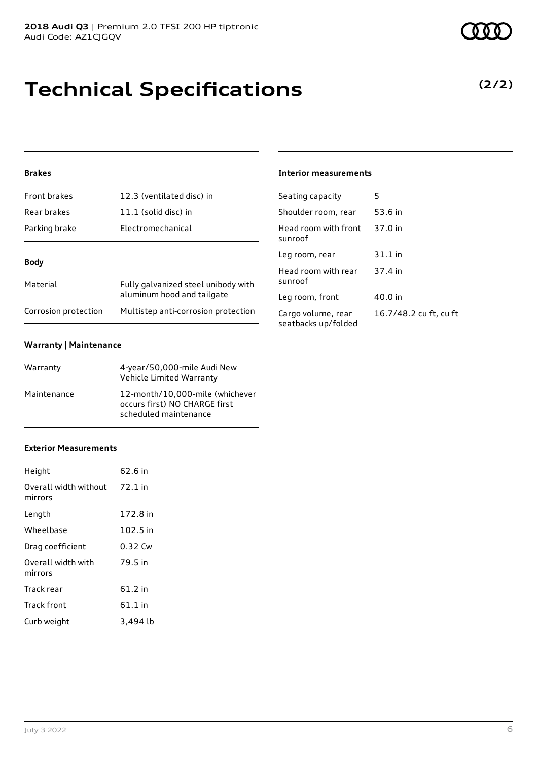# **Technical Specifications**

# **Brakes**

| Front brakes         | 12.3 (ventilated disc) in                                         |  |
|----------------------|-------------------------------------------------------------------|--|
| Rear brakes          | 11.1 (solid disc) in                                              |  |
| Parking brake        | Electromechanical                                                 |  |
|                      |                                                                   |  |
| Body                 |                                                                   |  |
| Material             | Fully galvanized steel unibody with<br>aluminum hood and tailgate |  |
| Corrosion protection | Multistep anti-corrosion protection                               |  |

### **Warranty | Maintenance**

| Warranty    | 4-year/50,000-mile Audi New<br>Vehicle Limited Warranty                                   |
|-------------|-------------------------------------------------------------------------------------------|
| Maintenance | 12-month/10,000-mile (whichever<br>occurs first) NO CHARGE first<br>scheduled maintenance |

#### **Exterior Measurements**

| Height                           | 62.6 in   |
|----------------------------------|-----------|
| Overall width without<br>mirrors | $72.1$ in |
| Length                           | 172.8 in  |
| Wheelbase                        | 102.5 in  |
| Drag coefficient                 | 0.32 Cw   |
| Overall width with<br>mirrors    | 79.5 in   |
| Track rear                       | 61.2 in   |
| Track front                      | $61.1$ in |
| Curb weight                      | 3,494 lb  |

## **Interior measurements**

| Seating capacity                          | 5                      |
|-------------------------------------------|------------------------|
| Shoulder room, rear                       | 53.6 in                |
| Head room with front<br>sunroof           | 37.0 in                |
| Leg room, rear                            | $31.1$ in              |
| Head room with rear<br>sunroof            | 37.4 in                |
| Leg room, front                           | 40.0 in                |
| Cargo volume, rear<br>seatbacks up/folded | 16.7/48.2 cu ft, cu ft |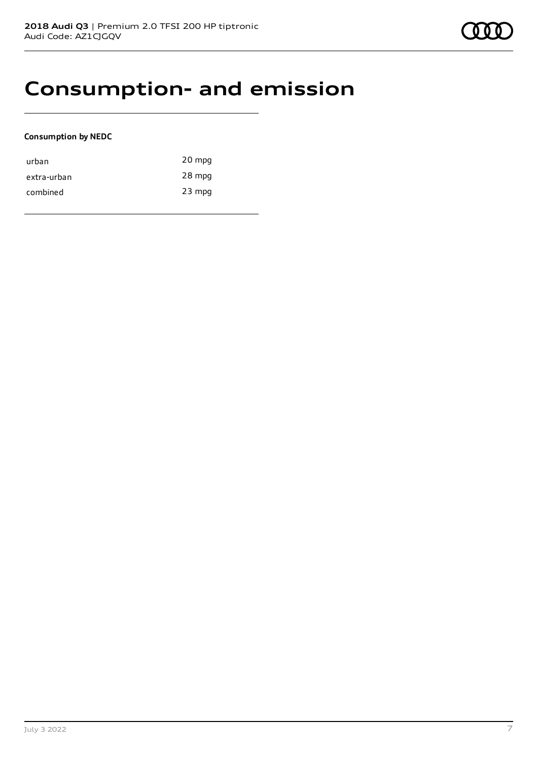# **Consumption- and emission**

### **Consumption by NEDC**

| urban       | 20 mpg   |
|-------------|----------|
| extra-urban | 28 mpg   |
| combined    | $23$ mpg |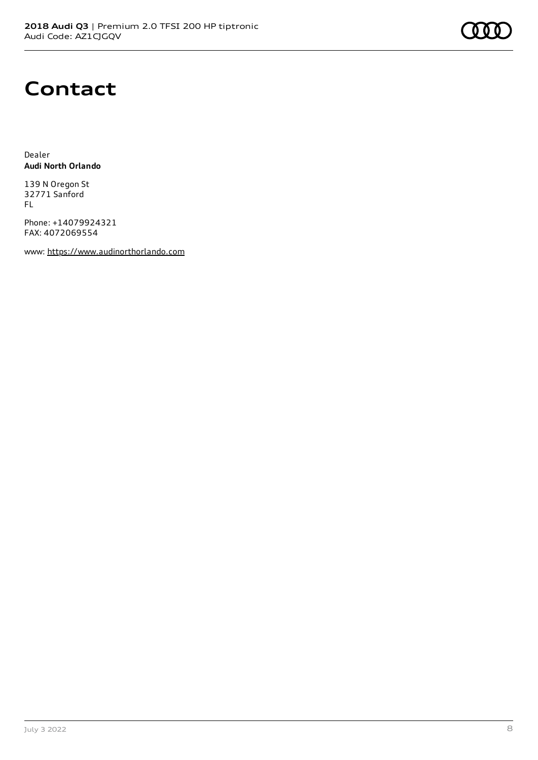# **Contact**

Dealer **Audi North Orlando**

139 N Oregon St 32771 Sanford FL

Phone: +14079924321 FAX: 4072069554

www: [https://www.audinorthorlando.com](https://www.audinorthorlando.com/)